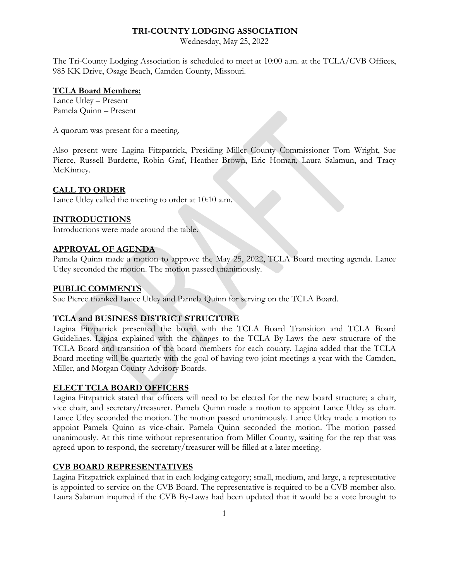#### **TRI-COUNTY LODGING ASSOCIATION**

Wednesday, May 25, 2022

The Tri-County Lodging Association is scheduled to meet at 10:00 a.m. at the TCLA/CVB Offices, 985 KK Drive, Osage Beach, Camden County, Missouri.

#### **TCLA Board Members:**

Lance Utley – Present Pamela Quinn – Present

A quorum was present for a meeting.

Also present were Lagina Fitzpatrick, Presiding Miller County Commissioner Tom Wright, Sue Pierce, Russell Burdette, Robin Graf, Heather Brown, Eric Homan, Laura Salamun, and Tracy McKinney.

# **CALL TO ORDER**

Lance Utley called the meeting to order at 10:10 a.m.

# **INTRODUCTIONS**

Introductions were made around the table.

#### **APPROVAL OF AGENDA**

Pamela Quinn made a motion to approve the May 25, 2022, TCLA Board meeting agenda. Lance Utley seconded the motion. The motion passed unanimously.

#### **PUBLIC COMMENTS**

Sue Pierce thanked Lance Utley and Pamela Quinn for serving on the TCLA Board.

# **TCLA and BUSINESS DISTRICT STRUCTURE**

Lagina Fitzpatrick presented the board with the TCLA Board Transition and TCLA Board Guidelines. Lagina explained with the changes to the TCLA By-Laws the new structure of the TCLA Board and transition of the board members for each county. Lagina added that the TCLA Board meeting will be quarterly with the goal of having two joint meetings a year with the Camden, Miller, and Morgan County Advisory Boards.

# **ELECT TCLA BOARD OFFICERS**

Lagina Fitzpatrick stated that officers will need to be elected for the new board structure; a chair, vice chair, and secretary/treasurer. Pamela Quinn made a motion to appoint Lance Utley as chair. Lance Utley seconded the motion. The motion passed unanimously. Lance Utley made a motion to appoint Pamela Quinn as vice-chair. Pamela Quinn seconded the motion. The motion passed unanimously. At this time without representation from Miller County, waiting for the rep that was agreed upon to respond, the secretary/treasurer will be filled at a later meeting.

# **CVB BOARD REPRESENTATIVES**

Lagina Fitzpatrick explained that in each lodging category; small, medium, and large, a representative is appointed to service on the CVB Board. The representative is required to be a CVB member also. Laura Salamun inquired if the CVB By-Laws had been updated that it would be a vote brought to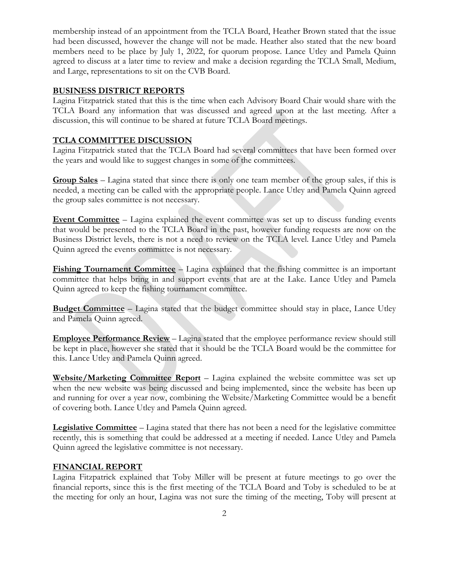membership instead of an appointment from the TCLA Board, Heather Brown stated that the issue had been discussed, however the change will not be made. Heather also stated that the new board members need to be place by July 1, 2022, for quorum propose. Lance Utley and Pamela Quinn agreed to discuss at a later time to review and make a decision regarding the TCLA Small, Medium, and Large, representations to sit on the CVB Board.

# **BUSINESS DISTRICT REPORTS**

Lagina Fitzpatrick stated that this is the time when each Advisory Board Chair would share with the TCLA Board any information that was discussed and agreed upon at the last meeting. After a discussion, this will continue to be shared at future TCLA Board meetings.

# **TCLA COMMITTEE DISCUSSION**

Lagina Fitzpatrick stated that the TCLA Board had several committees that have been formed over the years and would like to suggest changes in some of the committees.

**Group Sales** – Lagina stated that since there is only one team member of the group sales, if this is needed, a meeting can be called with the appropriate people. Lance Utley and Pamela Quinn agreed the group sales committee is not necessary.

**Event Committee** – Lagina explained the event committee was set up to discuss funding events that would be presented to the TCLA Board in the past, however funding requests are now on the Business District levels, there is not a need to review on the TCLA level. Lance Utley and Pamela Quinn agreed the events committee is not necessary.

**Fishing Tournament Committee** – Lagina explained that the fishing committee is an important committee that helps bring in and support events that are at the Lake. Lance Utley and Pamela Quinn agreed to keep the fishing tournament committee.

**Budget Committee** – Lagina stated that the budget committee should stay in place, Lance Utley and Pamela Quinn agreed.

**Employee Performance Review** – Lagina stated that the employee performance review should still be kept in place, however she stated that it should be the TCLA Board would be the committee for this. Lance Utley and Pamela Quinn agreed.

**Website/Marketing Committee Report** – Lagina explained the website committee was set up when the new website was being discussed and being implemented, since the website has been up and running for over a year now, combining the Website/Marketing Committee would be a benefit of covering both. Lance Utley and Pamela Quinn agreed.

**Legislative Committee** – Lagina stated that there has not been a need for the legislative committee recently, this is something that could be addressed at a meeting if needed. Lance Utley and Pamela Quinn agreed the legislative committee is not necessary.

#### **FINANCIAL REPORT**

Lagina Fitzpatrick explained that Toby Miller will be present at future meetings to go over the financial reports, since this is the first meeting of the TCLA Board and Toby is scheduled to be at the meeting for only an hour, Lagina was not sure the timing of the meeting, Toby will present at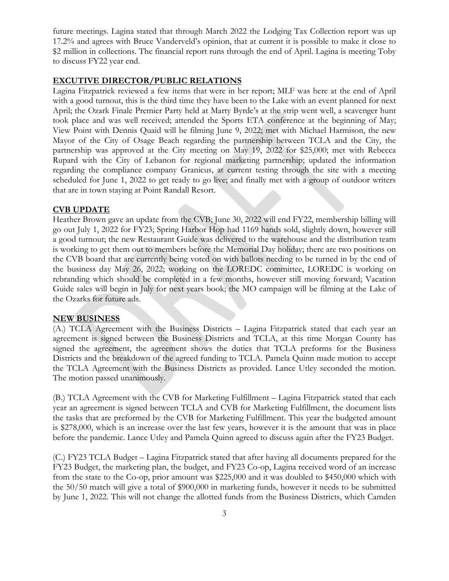future meetings. Lagina stated that through March 2022 the Lodging Tax Collection report was up 17.2% and agrees with Bruce Vanderveld's opinion, that at current it is possible to make it close to \$2 million in collections. The financial report runs through the end of April. Lagina is meeting Toby to discuss FY22 year end.

# **EXCUTIVE DIRECTOR/PUBLIC RELATIONS**

Lagina Fitzpatrick reviewed a few items that were in her report; MLF was here at the end of April with a good turnout, this is the third time they have been to the Lake with an event planned for next April; the Ozark Finale Premier Party held at Marty Byrde's at the strip went well, a scavenger hunt took place and was well received; attended the Sports ETA conference at the beginning of May; View Point with Dennis Quaid will be filming June 9, 2022; met with Michael Harmison, the new Mayor of the City of Osage Beach regarding the partnership between TCLA and the City, the partnership was approved at the City meeting on May 19, 2022 for \$25,000; met with Rebecca Rupard with the City of Lebanon for regional marketing partnership; updated the information regarding the compliance company Granicus, at current testing through the site with a meeting scheduled for June 1, 2022 to get ready to go live; and finally met with a group of outdoor writers that are in town staying at Point Randall Resort.

#### **CVB UPDATE**

Heather Brown gave an update from the CVB; June 30, 2022 will end FY22, membership billing will go out July 1, 2022 for FY23; Spring Harbor Hop had 1169 hands sold, slightly down, however still a good turnout; the new Restaurant Guide was delivered to the warehouse and the distribution team is working to get them out to members before the Memorial Day holiday; there are two positions on the CVB board that are currently being voted on with ballots needing to be turned in by the end of the business day May 26, 2022; working on the LOREDC committee, LOREDC is working on rebranding which should be completed in a few months, however still moving forward; Vacation Guide sales will begin in July for next years book; the MO campaign will be filming at the Lake of the Ozarks for future ads.

#### **NEW BUSINESS**

(A.) TCLA Agreement with the Business Districts – Lagina Fitzpatrick stated that each year an agreement is signed between the Business Districts and TCLA, at this time Morgan County has signed the agreement, the agreement shows the duties that TCLA preforms for the Business Districts and the breakdown of the agreed funding to TCLA. Pamela Quinn made motion to accept the TCLA Agreement with the Business Districts as provided. Lance Utley seconded the motion. The motion passed unanimously.

(B.) TCLA Agreement with the CVB for Marketing Fulfillment – Lagina Fitzpatrick stated that each year an agreement is signed between TCLA and CVB for Marketing Fulfillment, the document lists the tasks that are preformed by the CVB for Marketing Fulfillment. This year the budgeted amount is \$278,000, which is an increase over the last few years, however it is the amount that was in place before the pandemic. Lance Utley and Pamela Quinn agreed to discuss again after the FY23 Budget.

(C.) FY23 TCLA Budget – Lagina Fitzpatrick stated that after having all documents prepared for the FY23 Budget, the marketing plan, the budget, and FY23 Co-op, Lagina received word of an increase from the state to the Co-op, prior amount was \$225,000 and it was doubled to \$450,000 which with the 50/50 match will give a total of \$900,000 in marketing funds, however it needs to be submitted by June 1, 2022. This will not change the allotted funds from the Business Districts, which Camden